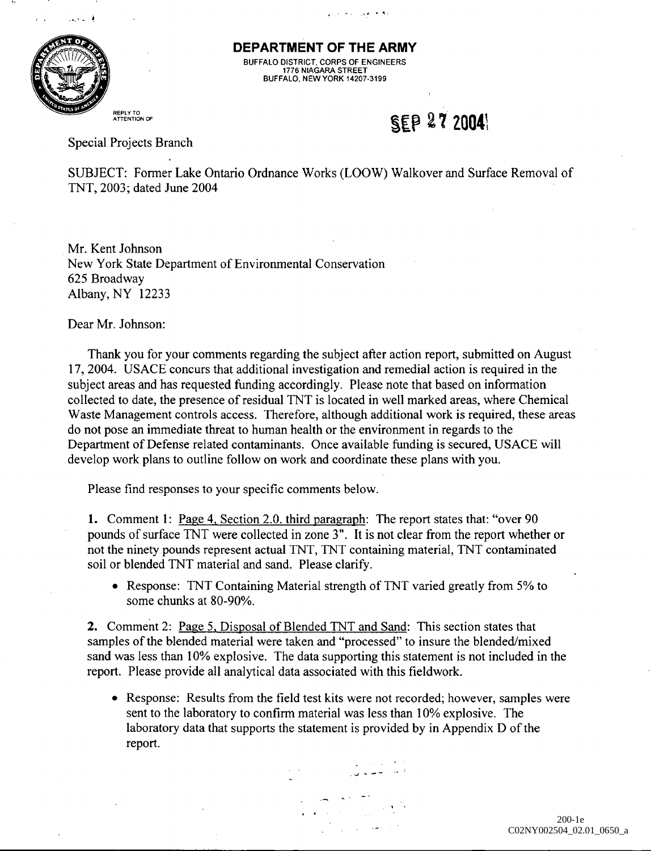

.•.•• j

DEPARTMENT OF THE ARMY

BUFFALO DISTRICT. CORPS OF ENGINEERS 1776 NIAGARA STREET BUFFALO, NEW YORK 14207·3199

.... . ~ .

 $\mathbf{A}$  and  $\mathbf{A}$ 

REPLY TO<br>ATTENTION OF

## ATTENTION OF **SEP 2, 72004\**

Special Projects Branch

SUBJECT: Fonner Lake Ontario Ordnance Works (LOOW) Walkover and Surface Removal of TNT, 2003; dated June 2004

Mr. Kent Johnson New York State Department of Environmental Conservation 625 Broadway Albany, NY 12233

Dear Mr. Johnson:

Thank you for your comments regarding the subject after action report, submitted on August 17,2004. USACE concurs that additional investigation and remedial action is required in the subject areas and has requested funding accordingly. Please note that based on infonnation collected to date, the presence of residual TNT is located in well marked areas, where Chemical Waste Management controls access. Therefore, although additional work is required, these areas do not pose an immediate threat to human health or the environment in regards to the Department of Defense related contaminants. Once available funding is secured, USACE will develop work plans to outline follow on work and coordinate these plans with you.

Please find responses to your specific comments below.

1. Comment I: Page 4, Section 2.0. third paragraph: The report states that: "over 90 pounds of surface TNT were collected in zone 3". It is not clear from the report whether or not the ninety pounds represent actual TNT, TNT containing material, TNT contaminated soil or blended TNT material and sand. Please clarify.

• Response: TNT Containing Material strength of TNT varied greatly from 5% to some chunks at 80-90%.

**2.** Comment 2: Page 5, Disposal of Blended TNT and Sand: This section states that samples of the blended material were taken and "processed" to insure the blended/mixed sand was less than 10% explosive. The data supporting this statement is not included in the report. Please provide all analytical data associated with this fieldwork.

• Response: Results from the field test kits were not recorded; however, samples were sent to the laboratory to confirm material was less than 10% explosive. The laboratory data that supports the statement is provided by in Appendix D of the report.

. In the case of the set of the set of the set of the set of the set of the set of the set of the set of the set of the set of the set of the set of the set of the set of the set of the set of the set of the set of the se